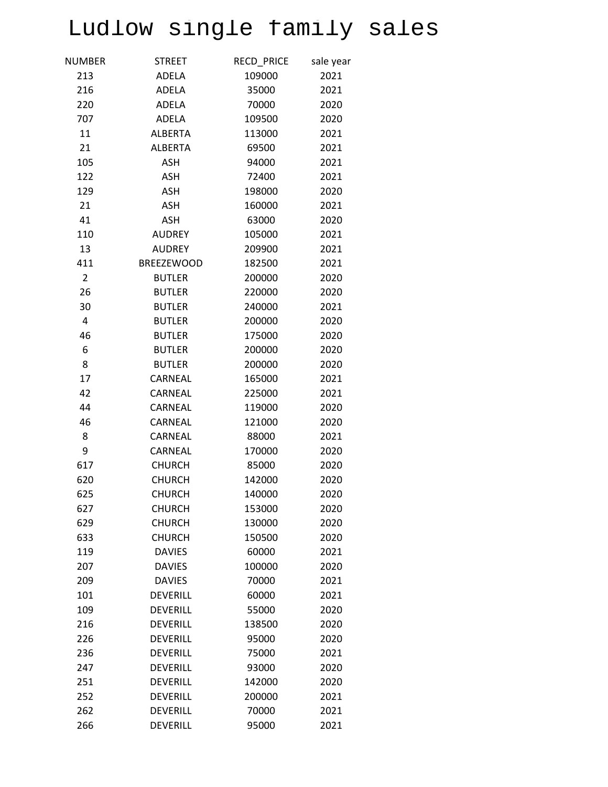## Ludlow single family sales

| NUMBER         | <b>STREET</b>     | <b>RECD PRICE</b> | sale year |
|----------------|-------------------|-------------------|-----------|
| 213            | ADELA             | 109000            | 2021      |
| 216            | <b>ADELA</b>      | 35000             | 2021      |
| 220            | <b>ADELA</b>      | 70000             | 2020      |
| 707            | ADELA             | 109500            | 2020      |
| 11             | <b>ALBERTA</b>    | 113000            | 2021      |
| 21             | <b>ALBERTA</b>    | 69500             | 2021      |
| 105            | <b>ASH</b>        | 94000             | 2021      |
| 122            | <b>ASH</b>        | 72400             | 2021      |
| 129            | <b>ASH</b>        | 198000            | 2020      |
| 21             | <b>ASH</b>        | 160000            | 2021      |
| 41             | <b>ASH</b>        | 63000             | 2020      |
| 110            | <b>AUDREY</b>     | 105000            | 2021      |
| 13             | <b>AUDREY</b>     | 209900            | 2021      |
| 411            | <b>BREEZEWOOD</b> | 182500            | 2021      |
| $\overline{2}$ | <b>BUTLER</b>     | 200000            | 2020      |
| 26             | <b>BUTLER</b>     | 220000            | 2020      |
| 30             | <b>BUTLER</b>     | 240000            | 2021      |
| $\overline{4}$ | <b>BUTLER</b>     | 200000            | 2020      |
| 46             | <b>BUTLER</b>     | 175000            | 2020      |
| 6              | <b>BUTLER</b>     | 200000            | 2020      |
| 8              | <b>BUTLER</b>     | 200000            | 2020      |
| 17             | CARNEAL           | 165000            | 2021      |
| 42             | CARNEAL           | 225000            | 2021      |
| 44             | CARNEAL           | 119000            | 2020      |
| 46             | CARNEAL           | 121000            | 2020      |
| 8              | CARNEAL           | 88000             | 2021      |
| 9              | CARNEAL           | 170000            | 2020      |
| 617            | <b>CHURCH</b>     | 85000             | 2020      |
| 620            | <b>CHURCH</b>     | 142000            | 2020      |
| 625            | <b>CHURCH</b>     | 140000            | 2020      |
| 627            | <b>CHURCH</b>     | 153000            | 2020      |
| 629            | <b>CHURCH</b>     | 130000            | 2020      |
| 633            | <b>CHURCH</b>     | 150500            | 2020      |
| 119            | <b>DAVIES</b>     | 60000             | 2021      |
| 207            | <b>DAVIES</b>     | 100000            | 2020      |
| 209            | <b>DAVIES</b>     | 70000             | 2021      |
| 101            | <b>DEVERILL</b>   | 60000             | 2021      |
| 109            | <b>DEVERILL</b>   | 55000             | 2020      |
| 216            | <b>DEVERILL</b>   | 138500            | 2020      |
| 226            | <b>DEVERILL</b>   | 95000             | 2020      |
| 236            | <b>DEVERILL</b>   | 75000             | 2021      |
| 247            | <b>DEVERILL</b>   | 93000             | 2020      |
| 251            | <b>DEVERILL</b>   | 142000            | 2020      |
| 252            | <b>DEVERILL</b>   | 200000            | 2021      |
| 262            | <b>DEVERILL</b>   | 70000             | 2021      |
| 266            | <b>DEVERILL</b>   | 95000             | 2021      |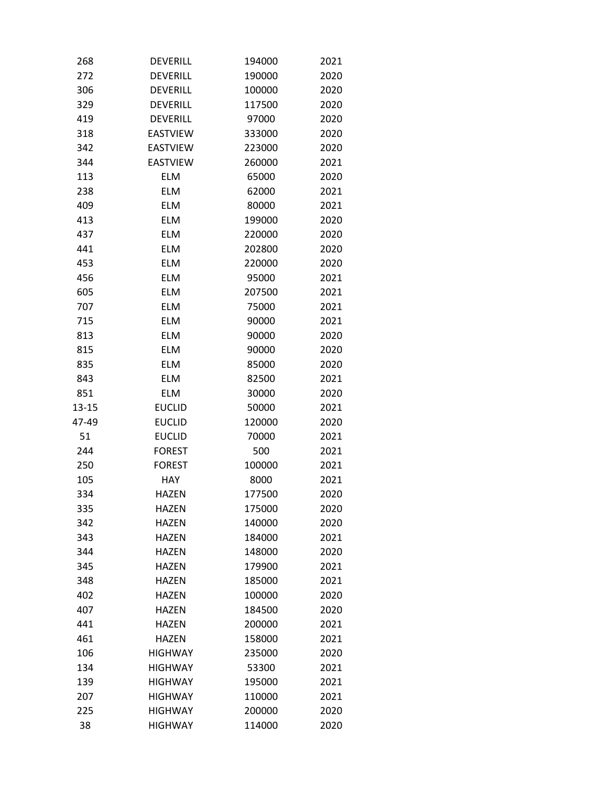| 268       | <b>DEVERILL</b> | 194000 | 2021 |
|-----------|-----------------|--------|------|
| 272       | DEVERILL        | 190000 | 2020 |
| 306       | <b>DEVERILL</b> | 100000 | 2020 |
| 329       | <b>DEVERILL</b> | 117500 | 2020 |
| 419       | DEVERILL        | 97000  | 2020 |
| 318       | <b>EASTVIEW</b> | 333000 | 2020 |
| 342       | <b>EASTVIEW</b> | 223000 | 2020 |
| 344       | <b>EASTVIEW</b> | 260000 | 2021 |
| 113       | <b>ELM</b>      | 65000  | 2020 |
| 238       | <b>ELM</b>      | 62000  | 2021 |
| 409       | <b>ELM</b>      | 80000  | 2021 |
| 413       | <b>ELM</b>      | 199000 | 2020 |
| 437       | <b>ELM</b>      | 220000 | 2020 |
| 441       | <b>ELM</b>      | 202800 | 2020 |
| 453       | <b>ELM</b>      | 220000 | 2020 |
| 456       | <b>ELM</b>      | 95000  | 2021 |
| 605       | <b>ELM</b>      | 207500 | 2021 |
| 707       | <b>ELM</b>      | 75000  | 2021 |
| 715       | <b>ELM</b>      | 90000  | 2021 |
| 813       | <b>ELM</b>      | 90000  | 2020 |
| 815       | <b>ELM</b>      | 90000  | 2020 |
| 835       | <b>ELM</b>      | 85000  | 2020 |
| 843       | <b>ELM</b>      | 82500  | 2021 |
| 851       | <b>ELM</b>      | 30000  | 2020 |
| $13 - 15$ | <b>EUCLID</b>   | 50000  | 2021 |
| 47-49     | <b>EUCLID</b>   | 120000 | 2020 |
| 51        | <b>EUCLID</b>   | 70000  | 2021 |
| 244       | <b>FOREST</b>   | 500    | 2021 |
| 250       | <b>FOREST</b>   | 100000 | 2021 |
| 105       | <b>HAY</b>      | 8000   | 2021 |
| 334       | <b>HAZEN</b>    | 177500 | 2020 |
| 335       | HAZEN           | 175000 | 2020 |
| 342       | <b>HAZEN</b>    | 140000 | 2020 |
| 343       | HAZEN           | 184000 | 2021 |
| 344       | <b>HAZEN</b>    | 148000 | 2020 |
| 345       | <b>HAZEN</b>    | 179900 | 2021 |
| 348       | <b>HAZEN</b>    | 185000 | 2021 |
| 402       | <b>HAZEN</b>    | 100000 | 2020 |
| 407       | <b>HAZEN</b>    | 184500 | 2020 |
| 441       | <b>HAZEN</b>    | 200000 | 2021 |
| 461       | <b>HAZEN</b>    | 158000 | 2021 |
| 106       | <b>HIGHWAY</b>  | 235000 | 2020 |
| 134       | <b>HIGHWAY</b>  | 53300  | 2021 |
| 139       | <b>HIGHWAY</b>  | 195000 | 2021 |
| 207       | <b>HIGHWAY</b>  | 110000 | 2021 |
| 225       | <b>HIGHWAY</b>  | 200000 | 2020 |
| 38        | <b>HIGHWAY</b>  | 114000 | 2020 |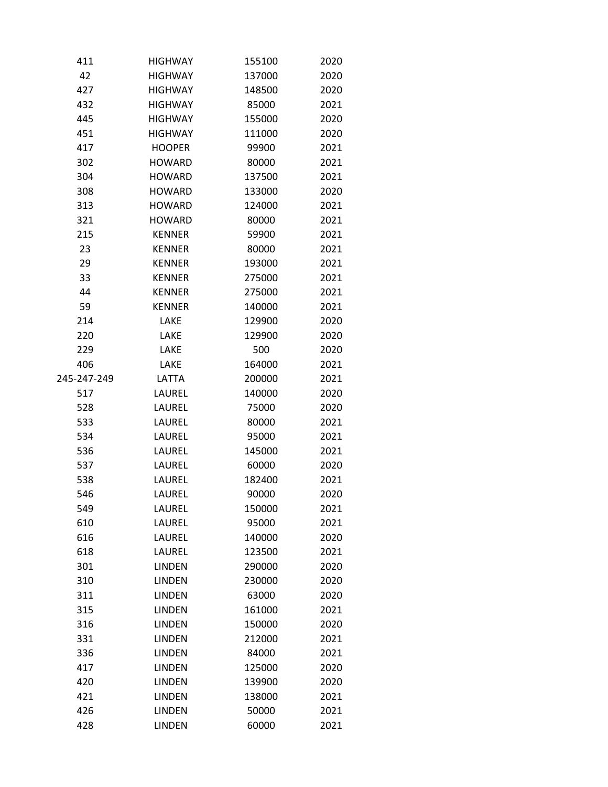| 411         | <b>HIGHWAY</b> | 155100 | 2020 |
|-------------|----------------|--------|------|
| 42          | <b>HIGHWAY</b> | 137000 | 2020 |
| 427         | <b>HIGHWAY</b> | 148500 | 2020 |
| 432         | <b>HIGHWAY</b> | 85000  | 2021 |
| 445         | <b>HIGHWAY</b> | 155000 | 2020 |
| 451         | <b>HIGHWAY</b> | 111000 | 2020 |
| 417         | <b>HOOPER</b>  | 99900  | 2021 |
| 302         | <b>HOWARD</b>  | 80000  | 2021 |
| 304         | <b>HOWARD</b>  | 137500 | 2021 |
| 308         | <b>HOWARD</b>  | 133000 | 2020 |
| 313         | <b>HOWARD</b>  | 124000 | 2021 |
| 321         | <b>HOWARD</b>  | 80000  | 2021 |
| 215         | <b>KENNER</b>  | 59900  | 2021 |
| 23          | <b>KENNER</b>  | 80000  | 2021 |
| 29          | <b>KENNER</b>  | 193000 | 2021 |
| 33          | <b>KENNER</b>  | 275000 | 2021 |
| 44          | <b>KENNER</b>  | 275000 | 2021 |
| 59          | <b>KENNER</b>  | 140000 | 2021 |
| 214         | LAKE           | 129900 | 2020 |
| 220         | LAKE           | 129900 | 2020 |
| 229         | LAKE           | 500    | 2020 |
| 406         | LAKE           | 164000 | 2021 |
| 245-247-249 | LATTA          | 200000 | 2021 |
| 517         | LAUREL         | 140000 | 2020 |
| 528         | LAUREL         | 75000  | 2020 |
| 533         | LAUREL         | 80000  | 2021 |
| 534         | LAUREL         | 95000  | 2021 |
| 536         | LAUREL         | 145000 | 2021 |
| 537         | LAUREL         | 60000  | 2020 |
| 538         | LAUREL         | 182400 | 2021 |
| 546         | LAUREL         | 90000  | 2020 |
| 549         | LAUREL         | 150000 | 2021 |
| 610         | LAUREL         | 95000  | 2021 |
| 616         | LAUREL         | 140000 | 2020 |
| 618         | LAUREL         | 123500 | 2021 |
| 301         | <b>LINDEN</b>  | 290000 | 2020 |
| 310         | <b>LINDEN</b>  | 230000 | 2020 |
| 311         | <b>LINDEN</b>  | 63000  | 2020 |
| 315         | <b>LINDEN</b>  | 161000 | 2021 |
| 316         | <b>LINDEN</b>  | 150000 | 2020 |
| 331         | <b>LINDEN</b>  | 212000 | 2021 |
| 336         | <b>LINDEN</b>  | 84000  | 2021 |
| 417         | <b>LINDEN</b>  | 125000 | 2020 |
| 420         | <b>LINDEN</b>  | 139900 | 2020 |
| 421         | <b>LINDEN</b>  | 138000 | 2021 |
| 426         | <b>LINDEN</b>  | 50000  | 2021 |
| 428         | <b>LINDEN</b>  | 60000  | 2021 |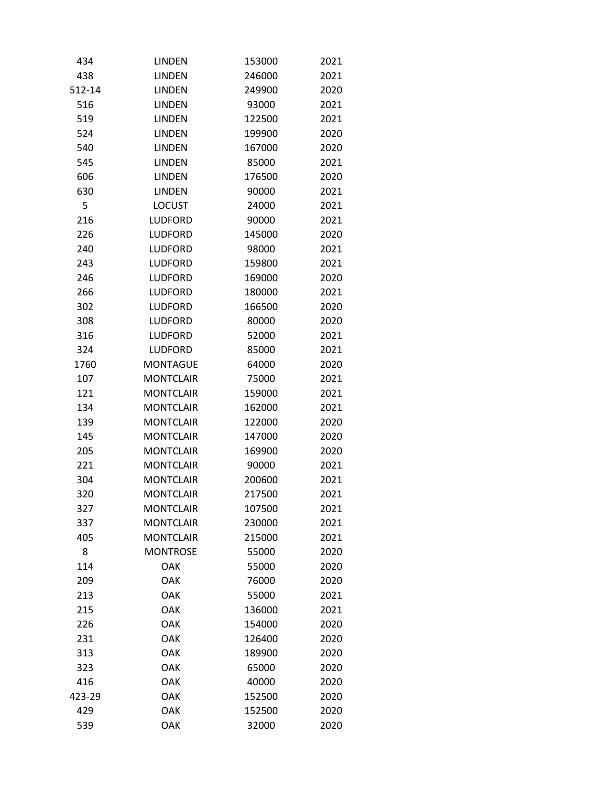| 434    | <b>LINDEN</b>    | 153000 | 2021 |
|--------|------------------|--------|------|
| 438    | <b>LINDEN</b>    | 246000 | 2021 |
| 512-14 | <b>LINDEN</b>    | 249900 | 2020 |
| 516    | <b>LINDEN</b>    | 93000  | 2021 |
| 519    | <b>LINDEN</b>    | 122500 | 2021 |
| 524    | <b>LINDEN</b>    | 199900 | 2020 |
| 540    | <b>LINDEN</b>    | 167000 | 2020 |
| 545    | <b>LINDEN</b>    | 85000  | 2021 |
| 606    | <b>LINDEN</b>    | 176500 | 2020 |
| 630    | <b>LINDEN</b>    | 90000  | 2021 |
| 5      | <b>LOCUST</b>    | 24000  | 2021 |
| 216    | <b>LUDFORD</b>   | 90000  | 2021 |
| 226    | <b>LUDFORD</b>   | 145000 | 2020 |
| 240    | LUDFORD          | 98000  | 2021 |
| 243    | <b>LUDFORD</b>   | 159800 | 2021 |
| 246    | <b>LUDFORD</b>   | 169000 | 2020 |
| 266    | <b>LUDFORD</b>   | 180000 | 2021 |
| 302    | LUDFORD          | 166500 | 2020 |
| 308    | LUDFORD          | 80000  | 2020 |
| 316    | LUDFORD          | 52000  | 2021 |
| 324    | <b>LUDFORD</b>   | 85000  | 2021 |
| 1760   | <b>MONTAGUE</b>  | 64000  | 2020 |
| 107    | <b>MONTCLAIR</b> | 75000  | 2021 |
| 121    | <b>MONTCLAIR</b> | 159000 | 2021 |
| 134    | <b>MONTCLAIR</b> | 162000 | 2021 |
| 139    | <b>MONTCLAIR</b> | 122000 | 2020 |
| 145    | <b>MONTCLAIR</b> | 147000 | 2020 |
| 205    | <b>MONTCLAIR</b> | 169900 | 2020 |
| 221    | <b>MONTCLAIR</b> | 90000  | 2021 |
| 304    | <b>MONTCLAIR</b> | 200600 | 2021 |
| 320    | <b>MONTCLAIR</b> | 217500 | 2021 |
| 327    | <b>MONTCLAIR</b> | 107500 | 2021 |
| 337    | <b>MONTCLAIR</b> | 230000 | 2021 |
| 405    | <b>MONTCLAIR</b> | 215000 | 2021 |
| 8      | <b>MONTROSE</b>  | 55000  | 2020 |
| 114    | <b>OAK</b>       | 55000  | 2020 |
| 209    | OAK              | 76000  | 2020 |
| 213    | <b>OAK</b>       | 55000  | 2021 |
| 215    | OAK              | 136000 | 2021 |
| 226    | OAK              | 154000 | 2020 |
| 231    | <b>OAK</b>       | 126400 | 2020 |
| 313    | OAK              | 189900 | 2020 |
| 323    | OAK              | 65000  | 2020 |
| 416    | OAK              | 40000  | 2020 |
| 423-29 | <b>OAK</b>       | 152500 | 2020 |
| 429    | <b>OAK</b>       | 152500 | 2020 |
| 539    | OAK              | 32000  | 2020 |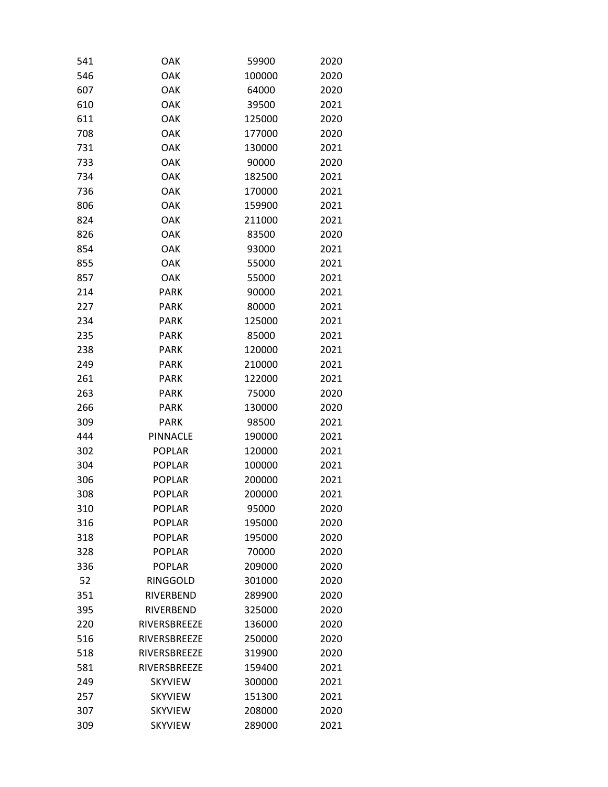| 541 | OAK             | 59900  | 2020 |
|-----|-----------------|--------|------|
| 546 | OAK             | 100000 | 2020 |
| 607 | OAK             | 64000  | 2020 |
| 610 | OAK             | 39500  | 2021 |
| 611 | <b>OAK</b>      | 125000 | 2020 |
| 708 | OAK             | 177000 | 2020 |
| 731 | OAK             | 130000 | 2021 |
| 733 | OAK             | 90000  | 2020 |
| 734 | OAK             | 182500 | 2021 |
| 736 | <b>OAK</b>      | 170000 | 2021 |
| 806 | OAK             | 159900 | 2021 |
| 824 | OAK             | 211000 | 2021 |
| 826 | OAK             | 83500  | 2020 |
| 854 | OAK             | 93000  | 2021 |
| 855 | OAK             | 55000  | 2021 |
| 857 | <b>OAK</b>      | 55000  | 2021 |
| 214 | <b>PARK</b>     | 90000  | 2021 |
| 227 | <b>PARK</b>     | 80000  | 2021 |
| 234 | <b>PARK</b>     | 125000 | 2021 |
| 235 | <b>PARK</b>     | 85000  | 2021 |
| 238 | <b>PARK</b>     | 120000 | 2021 |
| 249 | <b>PARK</b>     | 210000 | 2021 |
| 261 | <b>PARK</b>     | 122000 | 2021 |
| 263 | <b>PARK</b>     | 75000  | 2020 |
| 266 | <b>PARK</b>     | 130000 | 2020 |
| 309 | <b>PARK</b>     | 98500  | 2021 |
| 444 | <b>PINNACLE</b> | 190000 | 2021 |
| 302 | <b>POPLAR</b>   | 120000 | 2021 |
| 304 | <b>POPLAR</b>   | 100000 | 2021 |
| 306 | POPLAR          | 200000 | 2021 |
| 308 | <b>POPLAR</b>   | 200000 | 2021 |
| 310 | <b>POPLAR</b>   | 95000  | 2020 |
| 316 | <b>POPLAR</b>   | 195000 | 2020 |
| 318 | <b>POPLAR</b>   | 195000 | 2020 |
| 328 | <b>POPLAR</b>   | 70000  | 2020 |
| 336 | <b>POPLAR</b>   | 209000 | 2020 |
| 52  | <b>RINGGOLD</b> | 301000 | 2020 |
| 351 | RIVERBEND       | 289900 | 2020 |
| 395 | RIVERBEND       | 325000 | 2020 |
| 220 | RIVERSBREEZE    | 136000 | 2020 |
| 516 | RIVERSBREEZE    | 250000 | 2020 |
| 518 | RIVERSBREEZE    | 319900 | 2020 |
| 581 | RIVERSBREEZE    | 159400 | 2021 |
| 249 | <b>SKYVIEW</b>  | 300000 | 2021 |
| 257 | <b>SKYVIEW</b>  | 151300 | 2021 |
| 307 | <b>SKYVIEW</b>  | 208000 | 2020 |
| 309 | <b>SKYVIEW</b>  | 289000 | 2021 |